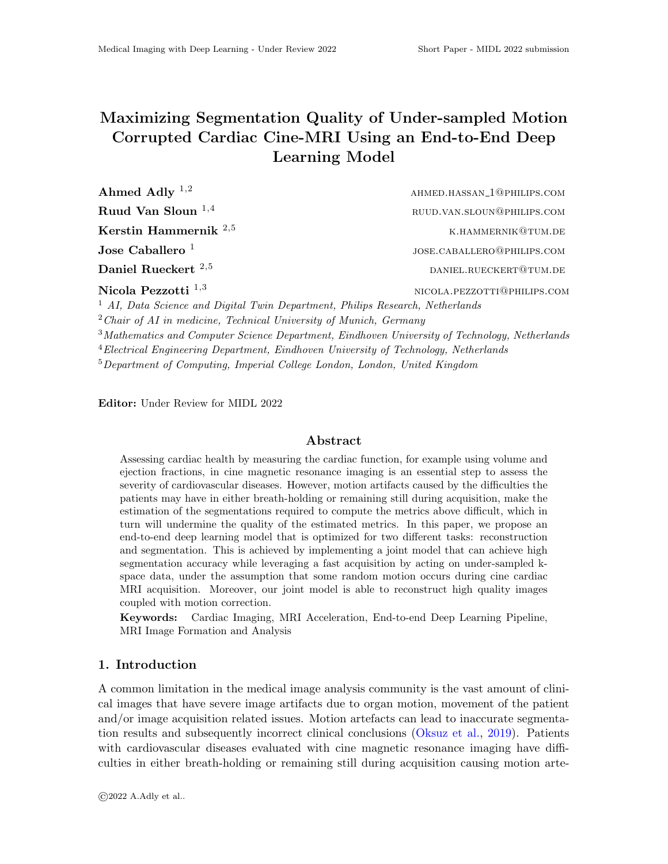# Maximizing Segmentation Quality of Under-sampled Motion Corrupted Cardiac Cine-MRI Using an End-to-End Deep Learning Model

| Ahmed Adly $^{1,2}$            | AHMED.HASSAN_1@PHILIPS.COM  |
|--------------------------------|-----------------------------|
| Ruud Van Sloun $^{1,4}$        | RUUD.VAN.SLOUN@PHILIPS.COM  |
| Kerstin Hammernik $^{2,5}$     | K.HAMMERNIK@TUM.DE          |
| Jose Caballero <sup>1</sup>    | JOSE.CABALLERO@PHILIPS.COM  |
| Daniel Rueckert <sup>2,5</sup> | DANIEL.RUECKERT@TUM.DE      |
| Nicola Pezzotti $^{1,3}$       | NICOLA PEZZOTTI@PHILIPS COM |

<sup>1</sup> AI, Data Science and Digital Twin Department, Philips Research, Netherlands

 $2$ Chair of AI in medicine, Technical University of Munich, Germany

 $3$ Mathematics and Computer Science Department, Eindhoven University of Technology, Netherlands

 ${}^{4}$ Electrical Engineering Department, Eindhoven University of Technology, Netherlands

<sup>5</sup>Department of Computing, Imperial College London, London, United Kingdom

Editor: Under Review for MIDL 2022

# Abstract

Assessing cardiac health by measuring the cardiac function, for example using volume and ejection fractions, in cine magnetic resonance imaging is an essential step to assess the severity of cardiovascular diseases. However, motion artifacts caused by the difficulties the patients may have in either breath-holding or remaining still during acquisition, make the estimation of the segmentations required to compute the metrics above difficult, which in turn will undermine the quality of the estimated metrics. In this paper, we propose an end-to-end deep learning model that is optimized for two different tasks: reconstruction and segmentation. This is achieved by implementing a joint model that can achieve high segmentation accuracy while leveraging a fast acquisition by acting on under-sampled kspace data, under the assumption that some random motion occurs during cine cardiac MRI acquisition. Moreover, our joint model is able to reconstruct high quality images coupled with motion correction.

Keywords: Cardiac Imaging, MRI Acceleration, End-to-end Deep Learning Pipeline, MRI Image Formation and Analysis

# 1. Introduction

A common limitation in the medical image analysis community is the vast amount of clinical images that have severe image artifacts due to organ motion, movement of the patient and/or image acquisition related issues. Motion artefacts can lead to inaccurate segmentation results and subsequently incorrect clinical conclusions [\(Oksuz et al.,](#page-2-0) [2019\)](#page-2-0). Patients with cardiovascular diseases evaluated with cine magnetic resonance imaging have difficulties in either breath-holding or remaining still during acquisition causing motion arte-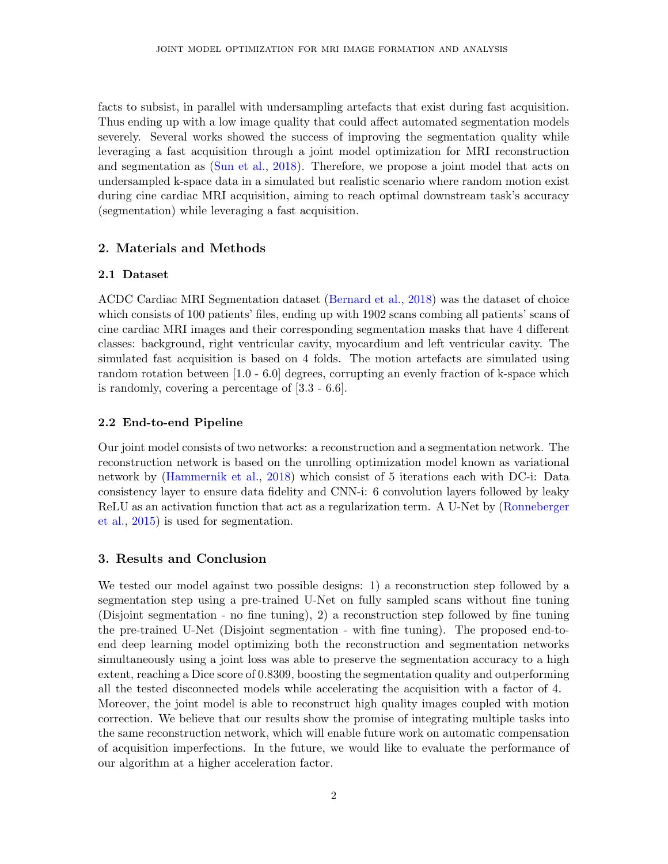facts to subsist, in parallel with undersampling artefacts that exist during fast acquisition. Thus ending up with a low image quality that could affect automated segmentation models severely. Several works showed the success of improving the segmentation quality while leveraging a fast acquisition through a joint model optimization for MRI reconstruction and segmentation as [\(Sun et al.,](#page-2-1) [2018\)](#page-2-1). Therefore, we propose a joint model that acts on undersampled k-space data in a simulated but realistic scenario where random motion exist during cine cardiac MRI acquisition, aiming to reach optimal downstream task's accuracy (segmentation) while leveraging a fast acquisition.

### 2. Materials and Methods

#### 2.1 Dataset

ACDC Cardiac MRI Segmentation dataset [\(Bernard et al.,](#page-2-2) [2018\)](#page-2-2) was the dataset of choice which consists of 100 patients' files, ending up with 1902 scans combing all patients' scans of cine cardiac MRI images and their corresponding segmentation masks that have 4 different classes: background, right ventricular cavity, myocardium and left ventricular cavity. The simulated fast acquisition is based on 4 folds. The motion artefacts are simulated using random rotation between [1.0 - 6.0] degrees, corrupting an evenly fraction of k-space which is randomly, covering a percentage of [3.3 - 6.6].

#### 2.2 End-to-end Pipeline

Our joint model consists of two networks: a reconstruction and a segmentation network. The reconstruction network is based on the unrolling optimization model known as variational network by [\(Hammernik et al.,](#page-2-3) [2018\)](#page-2-3) which consist of 5 iterations each with DC-i: Data consistency layer to ensure data fidelity and CNN-i: 6 convolution layers followed by leaky ReLU as an activation function that act as a regularization term. A U-Net by [\(Ronneberger](#page-2-4) [et al.,](#page-2-4) [2015\)](#page-2-4) is used for segmentation.

#### 3. Results and Conclusion

We tested our model against two possible designs: 1) a reconstruction step followed by a segmentation step using a pre-trained U-Net on fully sampled scans without fine tuning (Disjoint segmentation - no fine tuning), 2) a reconstruction step followed by fine tuning the pre-trained U-Net (Disjoint segmentation - with fine tuning). The proposed end-toend deep learning model optimizing both the reconstruction and segmentation networks simultaneously using a joint loss was able to preserve the segmentation accuracy to a high extent, reaching a Dice score of 0.8309, boosting the segmentation quality and outperforming all the tested disconnected models while accelerating the acquisition with a factor of 4. Moreover, the joint model is able to reconstruct high quality images coupled with motion correction. We believe that our results show the promise of integrating multiple tasks into the same reconstruction network, which will enable future work on automatic compensation of acquisition imperfections. In the future, we would like to evaluate the performance of our algorithm at a higher acceleration factor.